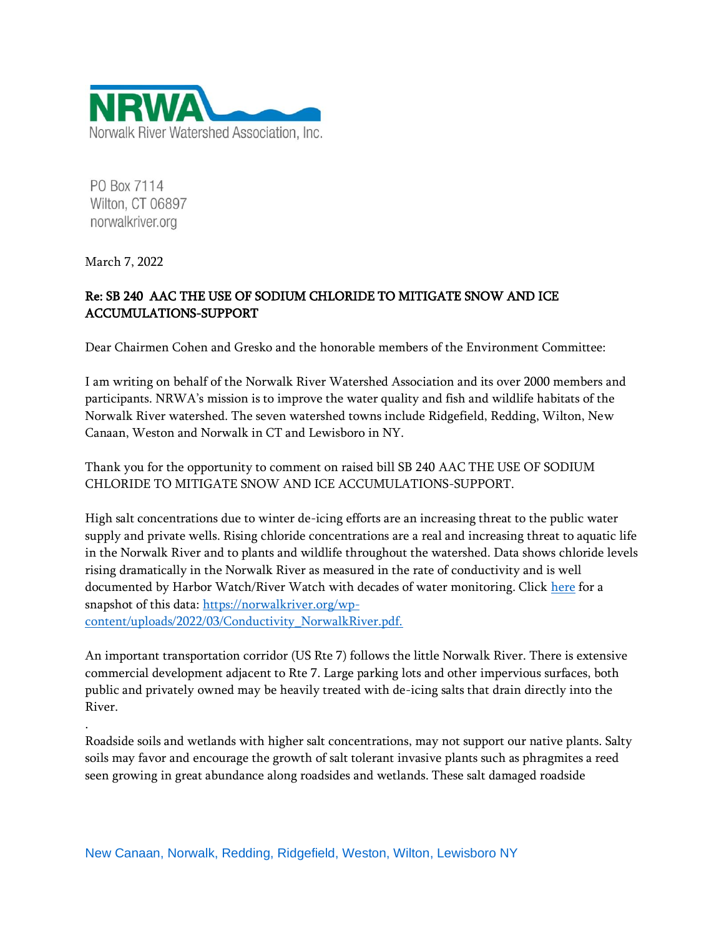

PO Box 7114 Wilton, CT 06897 norwalkriver.org

March 7, 2022

.

## Re: SB 240 AAC THE USE OF SODIUM CHLORIDE TO MITIGATE SNOW AND ICE ACCUMULATIONS-SUPPORT

Dear Chairmen Cohen and Gresko and the honorable members of the Environment Committee:

I am writing on behalf of the Norwalk River Watershed Association and its over 2000 members and participants. NRWA's mission is to improve the water quality and fish and wildlife habitats of the Norwalk River watershed. The seven watershed towns include Ridgefield, Redding, Wilton, New Canaan, Weston and Norwalk in CT and Lewisboro in NY.

Thank you for the opportunity to comment on raised bill SB 240 AAC THE USE OF SODIUM CHLORIDE TO MITIGATE SNOW AND ICE ACCUMULATIONS-SUPPORT.

High salt concentrations due to winter de-icing efforts are an increasing threat to the public water supply and private wells. Rising chloride concentrations are a real and increasing threat to aquatic life in the Norwalk River and to plants and wildlife throughout the watershed. Data shows chloride levels rising dramatically in the Norwalk River as measured in the rate of conductivity and is well documented by Harbor Watch/River Watch with decades of water monitoring. Clic[k here](https://norwalkriver.org/wp-content/uploads/2022/03/Conductivity_NorwalkRiver.pdf) for a snapshot of this data: [https://norwalkriver.org/wp](https://norwalkriver.org/wp-content/uploads/2022/03/Conductivity_NorwalkRiver.pdf)[content/uploads/2022/03/Conductivity\\_NorwalkRiver.pdf.](https://norwalkriver.org/wp-content/uploads/2022/03/Conductivity_NorwalkRiver.pdf)

An important transportation corridor (US Rte 7) follows the little Norwalk River. There is extensive commercial development adjacent to Rte 7. Large parking lots and other impervious surfaces, both public and privately owned may be heavily treated with de-icing salts that drain directly into the River.

Roadside soils and wetlands with higher salt concentrations, may not support our native plants. Salty soils may favor and encourage the growth of salt tolerant invasive plants such as phragmites a reed seen growing in great abundance along roadsides and wetlands. These salt damaged roadside